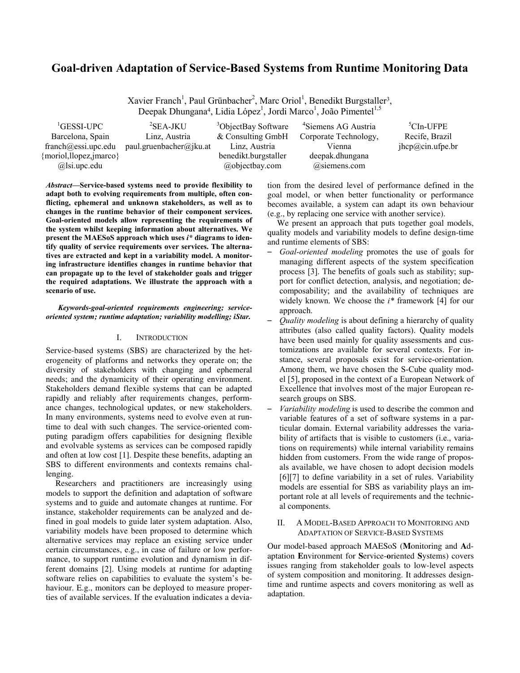# **Goal-driven Adaptation of Service-Based Systems from Runtime Monitoring Data**

Xavier Franch<sup>1</sup>, Paul Grünbacher<sup>2</sup>, Marc Oriol<sup>1</sup>, Benedikt Burgstaller<sup>3</sup>, Deepak Dhungana<sup>4</sup>, Lidia López<sup>1</sup>, Jordi Marco<sup>1</sup>, João Pimentel<sup>1,5</sup>

| ${}^{1}$ GESSI-UPC     | ${}^{2}$ SEA-JKU        | <sup>3</sup> ObjectBay Software | <sup>4</sup> Siemens AG Austria | $^5$ CIn-UFPE       |
|------------------------|-------------------------|---------------------------------|---------------------------------|---------------------|
| Barcelona, Spain       | Linz, Austria           | $&$ Consulting GmbH             | Corporate Technology,           | Recife, Brazil      |
| franch@essi.upc.edu    | paul.gruenbacher@jku.at | Linz, Austria                   | Vienna                          | $jhep@cin.$ ufpe.br |
| {moriol,llopez,jmarco} |                         | benedikt.burgstaller            | deepak.dhungana                 |                     |
| $@$ lsi.upc.edu        |                         | $(a)$ objectbay.com             | $@$ siemens.com                 |                     |

*Abstract***—Service-based systems need to provide flexibility to adapt both to evolving requirements from multiple, often conflicting, ephemeral and unknown stakeholders, as well as to changes in the runtime behavior of their component services. Goal-oriented models allow representing the requirements of the system whilst keeping information about alternatives. We present the MAESoS approach which uses** *i\** **diagrams to identify quality of service requirements over services. The alternatives are extracted and kept in a variability model. A monitoring infrastructure identifies changes in runtime behavior that can propagate up to the level of stakeholder goals and trigger the required adaptations. We illustrate the approach with a scenario of use.** 

*Keywords-goal-oriented requirements engineering; serviceoriented system; runtime adaptation; variability modelling; iStar.* 

# I. INTRODUCTION

Service-based systems (SBS) are characterized by the heterogeneity of platforms and networks they operate on; the diversity of stakeholders with changing and ephemeral needs; and the dynamicity of their operating environment. Stakeholders demand flexible systems that can be adapted rapidly and reliably after requirements changes, performance changes, technological updates, or new stakeholders. In many environments, systems need to evolve even at runtime to deal with such changes. The service-oriented computing paradigm offers capabilities for designing flexible and evolvable systems as services can be composed rapidly and often at low cost [1]. Despite these benefits, adapting an SBS to different environments and contexts remains challenging.

Researchers and practitioners are increasingly using models to support the definition and adaptation of software systems and to guide and automate changes at runtime. For instance, stakeholder requirements can be analyzed and defined in goal models to guide later system adaptation. Also, variability models have been proposed to determine which alternative services may replace an existing service under certain circumstances, e.g., in case of failure or low performance, to support runtime evolution and dynamism in different domains [2]. Using models at runtime for adapting software relies on capabilities to evaluate the system's behaviour. E.g., monitors can be deployed to measure properties of available services. If the evaluation indicates a deviation from the desired level of performance defined in the goal model, or when better functionality or performance becomes available, a system can adapt its own behaviour (e.g., by replacing one service with another service).

We present an approach that puts together goal models, quality models and variability models to define design-time and runtime elements of SBS:

- *Goal-oriented modeling* promotes the use of goals for managing different aspects of the system specification process [3]. The benefits of goals such as stability; support for conflict detection, analysis, and negotiation; decomposability; and the availability of techniques are widely known. We choose the *i\** framework [4] for our approach.
- *Quality modeling* is about defining a hierarchy of quality attributes (also called quality factors). Quality models have been used mainly for quality assessments and customizations are available for several contexts. For instance, several proposals exist for service-orientation. Among them, we have chosen the S-Cube quality model [5], proposed in the context of a European Network of Excellence that involves most of the major European research groups on SBS.
- *Variability modeling* is used to describe the common and variable features of a set of software systems in a particular domain. External variability addresses the variability of artifacts that is visible to customers (i.e., variations on requirements) while internal variability remains hidden from customers. From the wide range of proposals available, we have chosen to adopt decision models [6][7] to define variability in a set of rules. Variability models are essential for SBS as variability plays an important role at all levels of requirements and the technical components.

## II. A MODEL-BASED APPROACH TO MONITORING AND ADAPTATION OF SERVICE-BASED SYSTEMS

Our model-based approach MAESoS (**M**onitoring and **A**daptation **E**nvironment for **S**ervice-**o**riented **S**ystems) covers issues ranging from stakeholder goals to low-level aspects of system composition and monitoring. It addresses designtime and runtime aspects and covers monitoring as well as adaptation.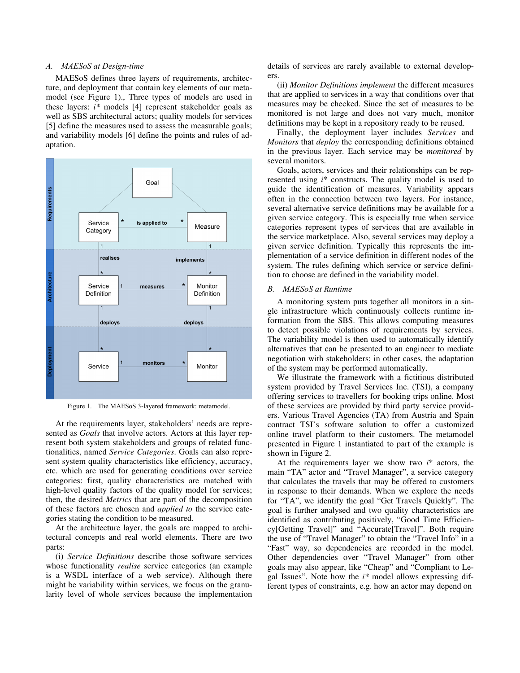## *A. MAESoS at Design-time*

MAESoS defines three layers of requirements, architecture, and deployment that contain key elements of our metamodel (see Figure 1)., Three types of models are used in these layers: *i\** models [4] represent stakeholder goals as well as SBS architectural actors; quality models for services [5] define the measures used to assess the measurable goals; and variability models [6] define the points and rules of adaptation.



Figure 1. The MAESoS 3-layered framework: metamodel.

At the requirements layer, stakeholders' needs are represented as *Goals* that involve actors. Actors at this layer represent both system stakeholders and groups of related functionalities, named *Service Categories*. Goals can also represent system quality characteristics like efficiency, accuracy, etc. which are used for generating conditions over service categories: first, quality characteristics are matched with high-level quality factors of the quality model for services; then, the desired *Metrics* that are part of the decomposition of these factors are chosen and *applied to* the service categories stating the condition to be measured.

At the architecture layer, the goals are mapped to architectural concepts and real world elements. There are two parts:

(i) *Service Definitions* describe those software services whose functionality *realise* service categories (an example is a WSDL interface of a web service). Although there might be variability within services, we focus on the granularity level of whole services because the implementation details of services are rarely available to external developers.

(ii) *Monitor Definitions implement* the different measures that are applied to services in a way that conditions over that measures may be checked. Since the set of measures to be monitored is not large and does not vary much, monitor definitions may be kept in a repository ready to be reused.

Finally, the deployment layer includes *Services* and *Monitors* that *deploy* the corresponding definitions obtained in the previous layer. Each service may be *monitored* by several monitors.

Goals, actors, services and their relationships can be represented using *i*\* constructs. The quality model is used to guide the identification of measures. Variability appears often in the connection between two layers. For instance, several alternative service definitions may be available for a given service category. This is especially true when service categories represent types of services that are available in the service marketplace. Also, several services may deploy a given service definition. Typically this represents the implementation of a service definition in different nodes of the system. The rules defining which service or service definition to choose are defined in the variability model.

## *B. MAESoS at Runtime*

A monitoring system puts together all monitors in a single infrastructure which continuously collects runtime information from the SBS. This allows computing measures to detect possible violations of requirements by services. The variability model is then used to automatically identify alternatives that can be presented to an engineer to mediate negotiation with stakeholders; in other cases, the adaptation of the system may be performed automatically.

We illustrate the framework with a fictitious distributed system provided by Travel Services Inc. (TSI), a company offering services to travellers for booking trips online. Most of these services are provided by third party service providers. Various Travel Agencies (TA) from Austria and Spain contract TSI's software solution to offer a customized online travel platform to their customers. The metamodel presented in Figure 1 instantiated to part of the example is shown in Figure 2.

At the requirements layer we show two *i*\* actors, the main "TA" actor and "Travel Manager", a service category that calculates the travels that may be offered to customers in response to their demands. When we explore the needs for "TA", we identify the goal "Get Travels Quickly". The goal is further analysed and two quality characteristics are identified as contributing positively, "Good Time Efficiency[Getting Travel]" and "Accurate[Travel]". Both require the use of "Travel Manager" to obtain the "Travel Info" in a "Fast" way, so dependencies are recorded in the model. Other dependencies over "Travel Manager" from other goals may also appear, like "Cheap" and "Compliant to Legal Issues". Note how the *i\** model allows expressing different types of constraints, e.g. how an actor may depend on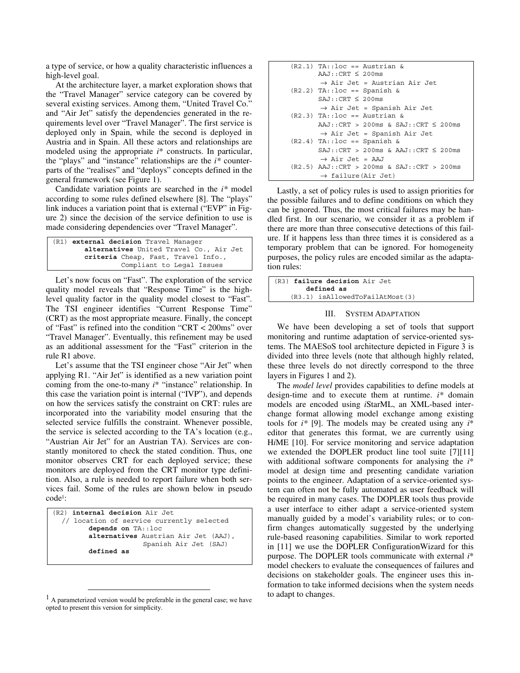a type of service, or how a quality characteristic influences a high-level goal.

At the architecture layer, a market exploration shows that the "Travel Manager" service category can be covered by several existing services. Among them, "United Travel Co." and "Air Jet" satisfy the dependencies generated in the requirements level over "Travel Manager". The first service is deployed only in Spain, while the second is deployed in Austria and in Spain. All these actors and relationships are modeled using the appropriate *i*\* constructs. In particular, the "plays" and "instance" relationships are the *i\** counterparts of the "realises" and "deploys" concepts defined in the general framework (see Figure 1).

Candidate variation points are searched in the *i\** model according to some rules defined elsewhere [8]. The "plays" link induces a variation point that is external ("EVP" in Figure 2) since the decision of the service definition to use is made considering dependencies over "Travel Manager".

```
(R1) external decision Travel Manager 
         alternatives United Travel Co., Air Jet 
         criteria Cheap, Fast, Travel Info., 
                  Compliant to Legal Issues
```
Let's now focus on "Fast". The exploration of the service quality model reveals that "Response Time" is the highlevel quality factor in the quality model closest to "Fast". The TSI engineer identifies "Current Response Time" (CRT) as the most appropriate measure. Finally, the concept of "Fast" is refined into the condition "CRT < 200ms" over "Travel Manager". Eventually, this refinement may be used as an additional assessment for the "Fast" criterion in the rule R1 above.

Let's assume that the TSI engineer chose "Air Jet" when applying R1. "Air Jet" is identified as a new variation point coming from the one-to-many *i*\* "instance" relationship. In this case the variation point is internal ("IVP"), and depends on how the services satisfy the constraint on CRT: rules are incorporated into the variability model ensuring that the selected service fulfills the constraint. Whenever possible, the service is selected according to the TA's location (e.g., "Austrian Air Jet" for an Austrian TA). Services are constantly monitored to check the stated condition. Thus, one monitor observes CRT for each deployed service; these monitors are deployed from the CRT monitor type definition. Also, a rule is needed to report failure when both services fail. Some of the rules are shown below in pseudo code1:

```
(R2) internal decision Air Jet 
  // location of service currently selected 
          depends on TA::loc 
          alternatives Austrian Air Jet (AAJ), 
                        Spanish Air Jet (SAJ) 
          defined as
```

```
<sup>1</sup> A parameterized version would be preferable in the general case; we have</sup>
opted to present this version for simplicity.
```

```
 (R2.1) TA::loc == Austrian & 
        AAJ::CRT ≤ 200ms 
        \rightarrow Air Jet = Austrian Air Jet
(R2.2) TA::loc == Spanish &
       SAJ::CRT \leq 200ms\rightarrow Air Jet = Spanish Air Jet
 (R2.3) TA::loc == Austrian & 
        AAJ::CRT > 200ms & SAJ::CRT ≤ 200ms 
        \rightarrow Air Jet = Spanish Air Jet
 (R2.4) TA::loc == Spanish & 
        SAJ::CRT > 200ms & AAJ::CRT ≤ 200ms 
        \rightarrow Air Jet = AAJ
 (R2.5) AAJ::CRT > 200ms & SAJ::CRT > 200ms 
        \rightarrow failure(Air Jet)
```
Lastly, a set of policy rules is used to assign priorities for the possible failures and to define conditions on which they can be ignored. Thus, the most critical failures may be handled first. In our scenario, we consider it as a problem if there are more than three consecutive detections of this failure. If it happens less than three times it is considered as a temporary problem that can be ignored. For homogeneity purposes, the policy rules are encoded similar as the adaptation rules:

|                                           | (R3) failure decision Air Jet |  |  |
|-------------------------------------------|-------------------------------|--|--|
|                                           | defined as                    |  |  |
| $(R3.1)$ is Allowed To Fail At Most $(3)$ |                               |  |  |

# III. SYSTEM ADAPTATION

We have been developing a set of tools that support monitoring and runtime adaptation of service-oriented systems. The MAESoS tool architecture depicted in Figure 3 is divided into three levels (note that although highly related, these three levels do not directly correspond to the three layers in Figures 1 and 2).

The *model level* provides capabilities to define models at design-time and to execute them at runtime. *i\** domain models are encoded using *i*StarML, an XML-based interchange format allowing model exchange among existing tools for *i\** [9]. The models may be created using any *i*\* editor that generates this format, we are currently using H*i*ME [10]. For service monitoring and service adaptation we extended the DOPLER product line tool suite [7][11] with additional software components for analysing the *i*\* model at design time and presenting candidate variation points to the engineer. Adaptation of a service-oriented system can often not be fully automated as user feedback will be required in many cases. The DOPLER tools thus provide a user interface to either adapt a service-oriented system manually guided by a model's variability rules; or to confirm changes automatically suggested by the underlying rule-based reasoning capabilities. Similar to work reported in [11] we use the DOPLER ConfigurationWizard for this purpose. The DOPLER tools communicate with external *i*\* model checkers to evaluate the consequences of failures and decisions on stakeholder goals. The engineer uses this information to take informed decisions when the system needs to adapt to changes.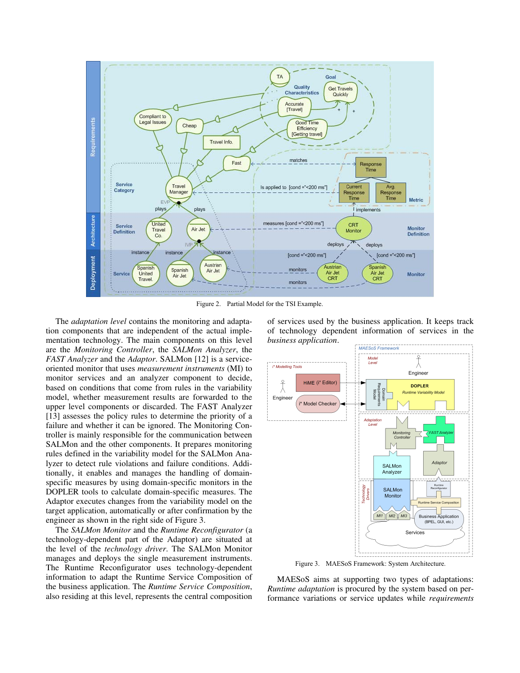

Figure 2. Partial Model for the TSI Example.

The *adaptation level* contains the monitoring and adaptation components that are independent of the actual implementation technology. The main components on this level are the *Monitoring Controller*, the *SALMon Analyzer*, the *FAST Analyzer* and the *Adaptor*. SALMon [12] is a serviceoriented monitor that uses *measurement instruments* (MI) to monitor services and an analyzer component to decide, based on conditions that come from rules in the variability model, whether measurement results are forwarded to the upper level components or discarded. The FAST Analyzer [13] assesses the policy rules to determine the priority of a failure and whether it can be ignored. The Monitoring Controller is mainly responsible for the communication between SALMon and the other components. It prepares monitoring rules defined in the variability model for the SALMon Analyzer to detect rule violations and failure conditions. Additionally, it enables and manages the handling of domainspecific measures by using domain-specific monitors in the DOPLER tools to calculate domain-specific measures. The Adaptor executes changes from the variability model on the target application, automatically or after confirmation by the engineer as shown in the right side of Figure 3.

The *SALMon Monitor* and the *Runtime Reconfigurator* (a technology-dependent part of the Adaptor) are situated at the level of the *technology driver*. The SALMon Monitor manages and deploys the single measurement instruments. The Runtime Reconfigurator uses technology-dependent information to adapt the Runtime Service Composition of the business application. The *Runtime Service Composition*, also residing at this level, represents the central composition of services used by the business application. It keeps track of technology dependent information of services in the *business application*.



Figure 3. MAESoS Framework: System Architecture.

MAESoS aims at supporting two types of adaptations: *Runtime adaptation* is procured by the system based on performance variations or service updates while *requirements*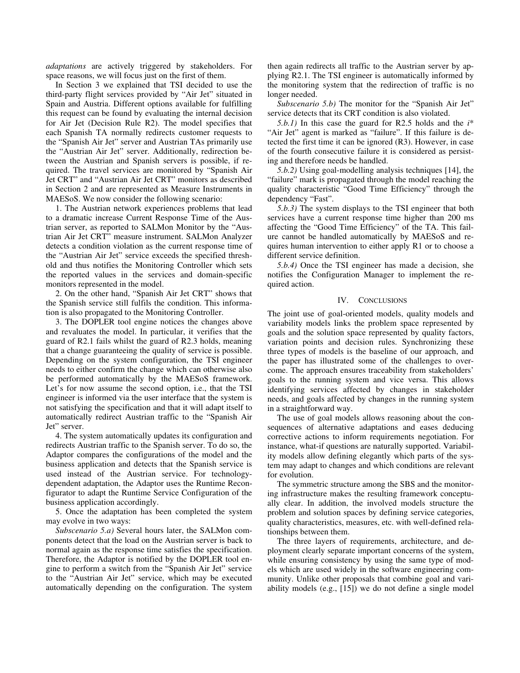*adaptations* are actively triggered by stakeholders. For space reasons, we will focus just on the first of them.

In Section 3 we explained that TSI decided to use the third-party flight services provided by "Air Jet" situated in Spain and Austria. Different options available for fulfilling this request can be found by evaluating the internal decision for Air Jet (Decision Rule R2). The model specifies that each Spanish TA normally redirects customer requests to the "Spanish Air Jet" server and Austrian TAs primarily use the "Austrian Air Jet" server. Additionally, redirection between the Austrian and Spanish servers is possible, if required. The travel services are monitored by "Spanish Air Jet CRT" and "Austrian Air Jet CRT" monitors as described in Section 2 and are represented as Measure Instruments in MAESoS. We now consider the following scenario:

1. The Austrian network experiences problems that lead to a dramatic increase Current Response Time of the Austrian server, as reported to SALMon Monitor by the "Austrian Air Jet CRT" measure instrument. SALMon Analyzer detects a condition violation as the current response time of the "Austrian Air Jet" service exceeds the specified threshold and thus notifies the Monitoring Controller which sets the reported values in the services and domain-specific monitors represented in the model.

2. On the other hand, "Spanish Air Jet CRT" shows that the Spanish service still fulfils the condition. This information is also propagated to the Monitoring Controller.

3. The DOPLER tool engine notices the changes above and revaluates the model. In particular, it verifies that the guard of R2.1 fails whilst the guard of R2.3 holds, meaning that a change guaranteeing the quality of service is possible. Depending on the system configuration, the TSI engineer needs to either confirm the change which can otherwise also be performed automatically by the MAESoS framework. Let's for now assume the second option, i.e., that the TSI engineer is informed via the user interface that the system is not satisfying the specification and that it will adapt itself to automatically redirect Austrian traffic to the "Spanish Air Jet" server.

4. The system automatically updates its configuration and redirects Austrian traffic to the Spanish server. To do so, the Adaptor compares the configurations of the model and the business application and detects that the Spanish service is used instead of the Austrian service. For technologydependent adaptation, the Adaptor uses the Runtime Reconfigurator to adapt the Runtime Service Configuration of the business application accordingly.

5. Once the adaptation has been completed the system may evolve in two ways:

*Subscenario 5.a)* Several hours later, the SALMon components detect that the load on the Austrian server is back to normal again as the response time satisfies the specification. Therefore, the Adaptor is notified by the DOPLER tool engine to perform a switch from the "Spanish Air Jet" service to the "Austrian Air Jet" service, which may be executed automatically depending on the configuration. The system then again redirects all traffic to the Austrian server by applying R2.1. The TSI engineer is automatically informed by the monitoring system that the redirection of traffic is no longer needed.

*Subscenario 5.b)* The monitor for the "Spanish Air Jet" service detects that its CRT condition is also violated.

*5.b.1)* In this case the guard for R2.5 holds and the *i*\* "Air Jet" agent is marked as "failure". If this failure is detected the first time it can be ignored (R3). However, in case of the fourth consecutive failure it is considered as persisting and therefore needs be handled.

*5.b.2)* Using goal-modelling analysis techniques [14], the "failure" mark is propagated through the model reaching the quality characteristic "Good Time Efficiency" through the dependency "Fast".

*5.b.3)* The system displays to the TSI engineer that both services have a current response time higher than 200 ms affecting the "Good Time Efficiency" of the TA. This failure cannot be handled automatically by MAESoS and requires human intervention to either apply R1 or to choose a different service definition.

*5.b.4)* Once the TSI engineer has made a decision, she notifies the Configuration Manager to implement the required action.

### IV. CONCLUSIONS

The joint use of goal-oriented models, quality models and variability models links the problem space represented by goals and the solution space represented by quality factors, variation points and decision rules. Synchronizing these three types of models is the baseline of our approach, and the paper has illustrated some of the challenges to overcome. The approach ensures traceability from stakeholders' goals to the running system and vice versa. This allows identifying services affected by changes in stakeholder needs, and goals affected by changes in the running system in a straightforward way.

The use of goal models allows reasoning about the consequences of alternative adaptations and eases deducing corrective actions to inform requirements negotiation. For instance, what-if questions are naturally supported. Variability models allow defining elegantly which parts of the system may adapt to changes and which conditions are relevant for evolution.

The symmetric structure among the SBS and the monitoring infrastructure makes the resulting framework conceptually clear. In addition, the involved models structure the problem and solution spaces by defining service categories, quality characteristics, measures, etc. with well-defined relationships between them.

The three layers of requirements, architecture, and deployment clearly separate important concerns of the system, while ensuring consistency by using the same type of models which are used widely in the software engineering community. Unlike other proposals that combine goal and variability models (e.g., [15]) we do not define a single model